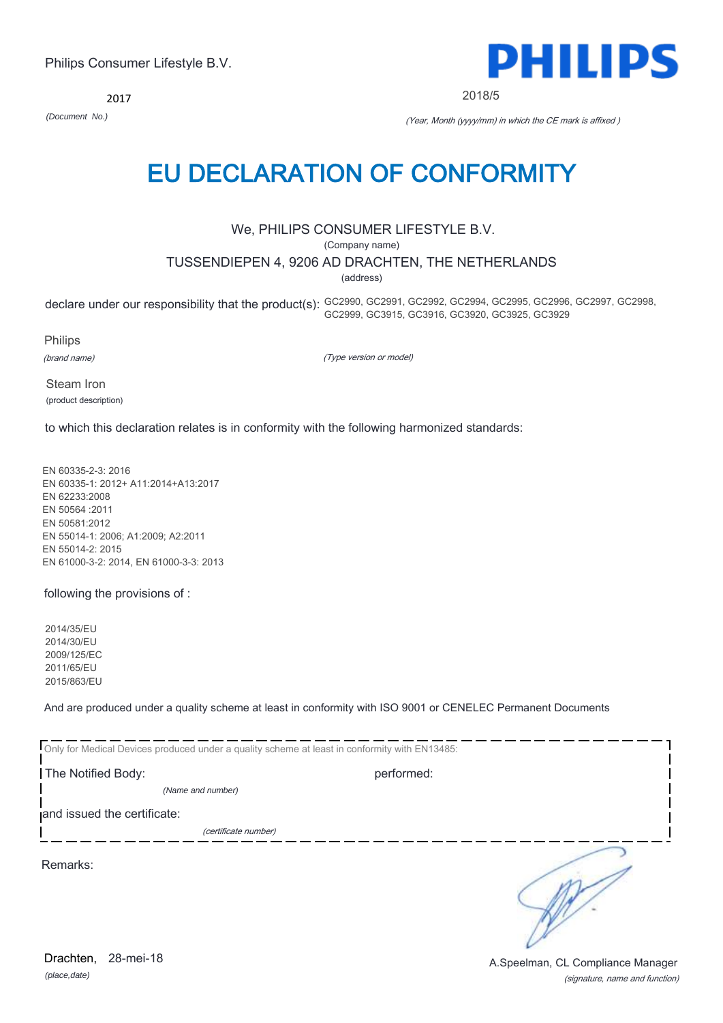### EU DECLARATION OF CONFORMITY

We, PHILIPS CONSUMER LIFESTYLE B.V.

(Company name)

TUSSENDIEPEN 4, 9206 AD DRACHTEN, THE NETHERLANDS

(address)

declare under our responsibility that the product(s): GC2990, GC2991, GC2992, GC2994, GC2995, GC2996, GC2997, GC2998, GC2999, GC3915, GC3916, GC3920, GC3925, GC3929

Philips

(brand name)

(Type version or model)

Steam Iron (product description)

to which this declaration relates is in conformity with the following harmonized standards:

EN 60335-2-3: 2016 EN 60335-1: 2012+ A11:2014+A13:2017 EN 62233:2008 EN 50564 :2011 EN 50581:2012 EN 55014-1: 2006; A1:2009; A2:2011 EN 55014-2: 2015 EN 61000-3-2: 2014, EN 61000-3-3: 2013

following the provisions of :

2014/35/EU 2014/30/EU 2009/125/EC 2011/65/EU 2015/863/EU

And are produced under a quality scheme at least in conformity with ISO 9001 or CENELEC Permanent Documents

|                             | Only for Medical Devices produced under a quality scheme at least in conformity with EN13485: |  |
|-----------------------------|-----------------------------------------------------------------------------------------------|--|
| The Notified Body:          | performed:                                                                                    |  |
| (Name and number)           |                                                                                               |  |
| and issued the certificate: |                                                                                               |  |
| (certificate number)        |                                                                                               |  |
| Remarks:                    |                                                                                               |  |

A.Speelman, CL Compliance Manager

(signature, name and function)



2018/5

2017

*(Document No.)* (Year, Month (yyyy/mm) in which the CE mark is affixed )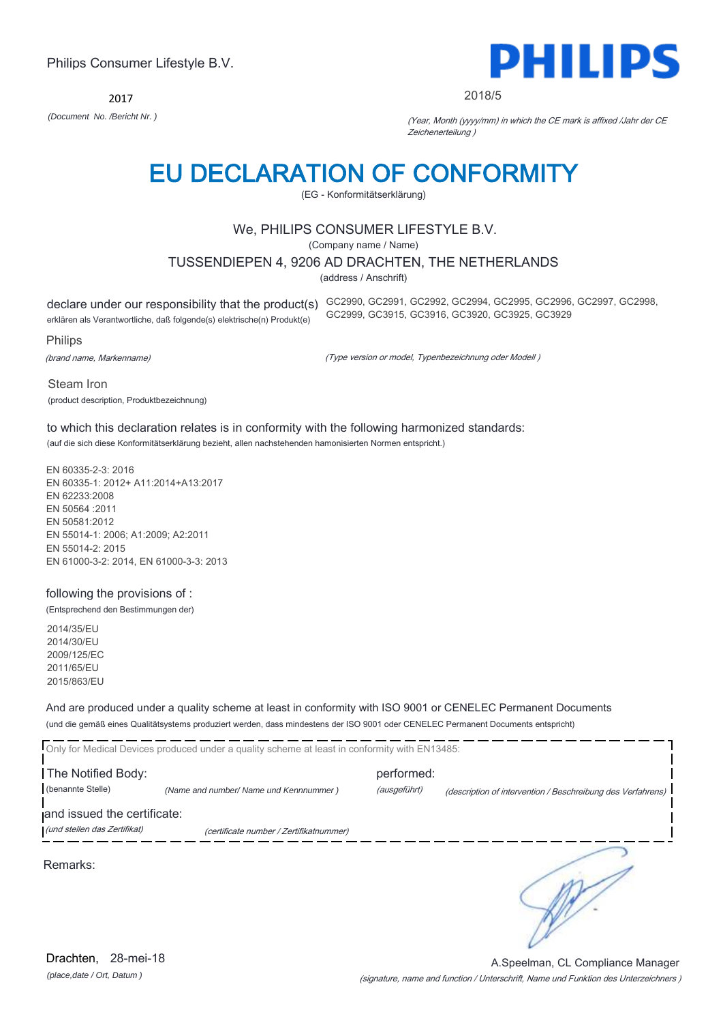Drachten, 28-mei-18

Philips Consumer Lifestyle B.V.

2017

# EU DECLARATION OF CONFORMITY

### We, PHILIPS CONSUMER LIFESTYLE B.V.

(EG - Konformitätserklärung)

(Company name / Name)

#### TUSSENDIEPEN 4, 9206 AD DRACHTEN, THE NETHERLANDS

(address / Anschrift)

declare under our responsibility that the product(s) GC2990, GC2991, GC2992, GC2994, GC2995, GC2996, GC2997, GC2998,

erklären als Verantwortliche, daß folgende(s) elektrische(n) Produkt(e)

Philips

(brand name, Markenname)

(Type version or model, Typenbezeichnung oder Modell )

GC2999, GC3915, GC3916, GC3920, GC3925, GC3929

Steam Iron (product description, Produktbezeichnung)

#### to which this declaration relates is in conformity with the following harmonized standards: (auf die sich diese Konformitätserklärung bezieht, allen nachstehenden hamonisierten Normen entspricht.)

EN 60335-2-3: 2016 EN 60335-1: 2012+ A11:2014+A13:2017 EN 62233:2008 EN 50564 :2011 EN 50581:2012 EN 55014-1: 2006; A1:2009; A2:2011 EN 55014-2: 2015 EN 61000-3-2: 2014, EN 61000-3-3: 2013

#### following the provisions of :

(Entsprechend den Bestimmungen der)

2014/35/EU 2014/30/EU 2009/125/EC 2011/65/EU 2015/863/EU

#### And are produced under a quality scheme at least in conformity with ISO 9001 or CENELEC Permanent Documents (und die gemäß eines Qualitätsystems produziert werden, dass mindestens der ISO 9001 oder CENELEC Permanent Documents entspricht)

|                                                             | Only for Medical Devices produced under a quality scheme at least in conformity with EN13485: |                            |                                                             |
|-------------------------------------------------------------|-----------------------------------------------------------------------------------------------|----------------------------|-------------------------------------------------------------|
| The Notified Body:<br>(benannte Stelle)                     | (Name and number/ Name und Kennnummer)                                                        | performed:<br>(ausgeführt) | (description of intervention / Beschreibung des Verfahrens) |
| and issued the certificate:<br>(und stellen das Zertifikat) | (certificate number / Zertifikatnummer)                                                       |                            |                                                             |
|                                                             |                                                                                               |                            |                                                             |
| Remarks:                                                    |                                                                                               |                            |                                                             |

(signature, name and function / Unterschrift, Name und Funktion des Unterzeichners ) A.Speelman, CL Compliance Manager



#### 2018/5

*(Document No. /Bericht Nr. )* (Year, Month (yyyy/mm) in which the CE mark is affixed /Jahr der CE Zeichenerteilung )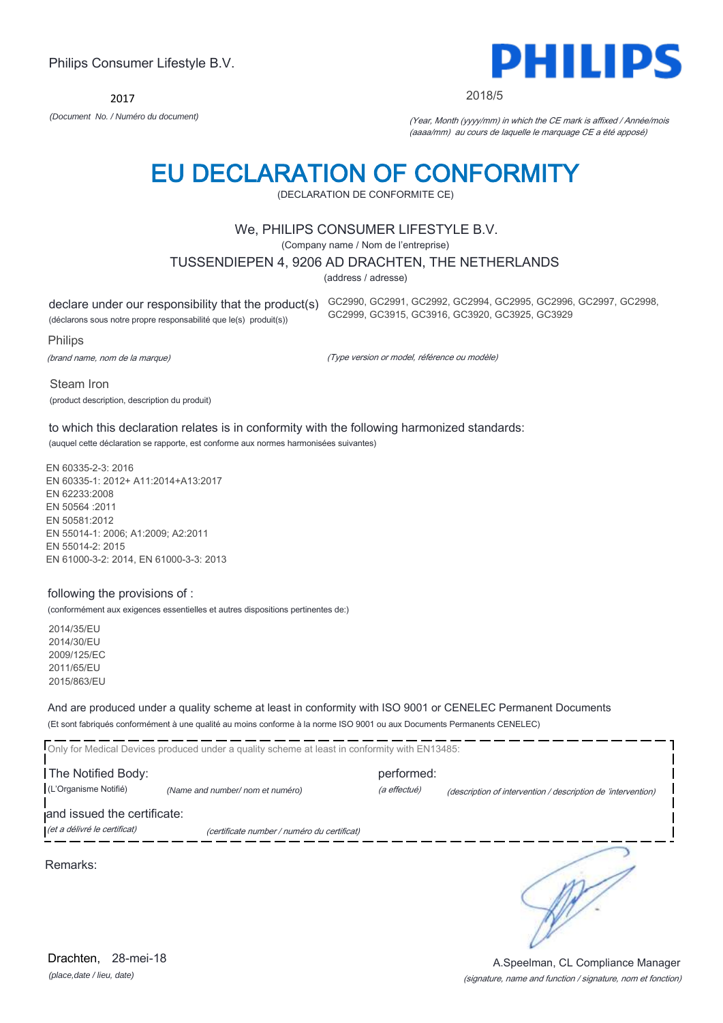2017



2018/5

*(Document No. / Numéro du document)* (Year, Month (yyyy/mm) in which the CE mark is affixed / Année/mois (aaaa/mm) au cours de laquelle le marquage CE a été apposé)

### EU DECLARATION OF CONFORMITY

(DECLARATION DE CONFORMITE CE)

#### We, PHILIPS CONSUMER LIFESTYLE B.V.

(Company name / Nom de l'entreprise)

#### TUSSENDIEPEN 4, 9206 AD DRACHTEN, THE NETHERLANDS

(address / adresse)

declare under our responsibility that the product(s) GC2990, GC2991, GC2992, GC2994, GC2995, GC2996, GC2997, GC2998,

(déclarons sous notre propre responsabilité que le(s) produit(s))

Philips

(brand name, nom de la marque)

(Type version or model, référence ou modèle)

GC2999, GC3915, GC3916, GC3920, GC3925, GC3929

Steam Iron (product description, description du produit)

to which this declaration relates is in conformity with the following harmonized standards: (auquel cette déclaration se rapporte, est conforme aux normes harmonisées suivantes)

EN 60335-2-3: 2016 EN 60335-1: 2012+ A11:2014+A13:2017 EN 62233:2008 EN 50564 :2011 EN 50581:2012 EN 55014-1: 2006; A1:2009; A2:2011 EN 55014-2: 2015 EN 61000-3-2: 2014, EN 61000-3-3: 2013

#### following the provisions of :

(conformément aux exigences essentielles et autres dispositions pertinentes de:)

2014/35/EU 2014/30/EU 2009/125/EC 2011/65/EU 2015/863/EU

And are produced under a quality scheme at least in conformity with ISO 9001 or CENELEC Permanent Documents (Et sont fabriqués conformément à une qualité au moins conforme à la norme ISO 9001 ou aux Documents Permanents CENELEC)

|                              | Only for Medical Devices produced under a quality scheme at least in conformity with EN13485: |              |                                                              |
|------------------------------|-----------------------------------------------------------------------------------------------|--------------|--------------------------------------------------------------|
| The Notified Body:           |                                                                                               | performed:   |                                                              |
| (L'Organisme Notifié)        | (Name and number/ nom et numéro)                                                              | (a effectué) | (description of intervention / description de 'intervention) |
| and issued the certificate:  |                                                                                               |              |                                                              |
| (et a délivré le certificat) | (certificate number / numéro du certificat)                                                   |              |                                                              |
| Remarks:                     |                                                                                               |              |                                                              |

A.Speelman, CL Compliance Manager

*(place,date / lieu, date)* Drachten. 28-mei-18

### (signature, name and function / signature, nom et fonction)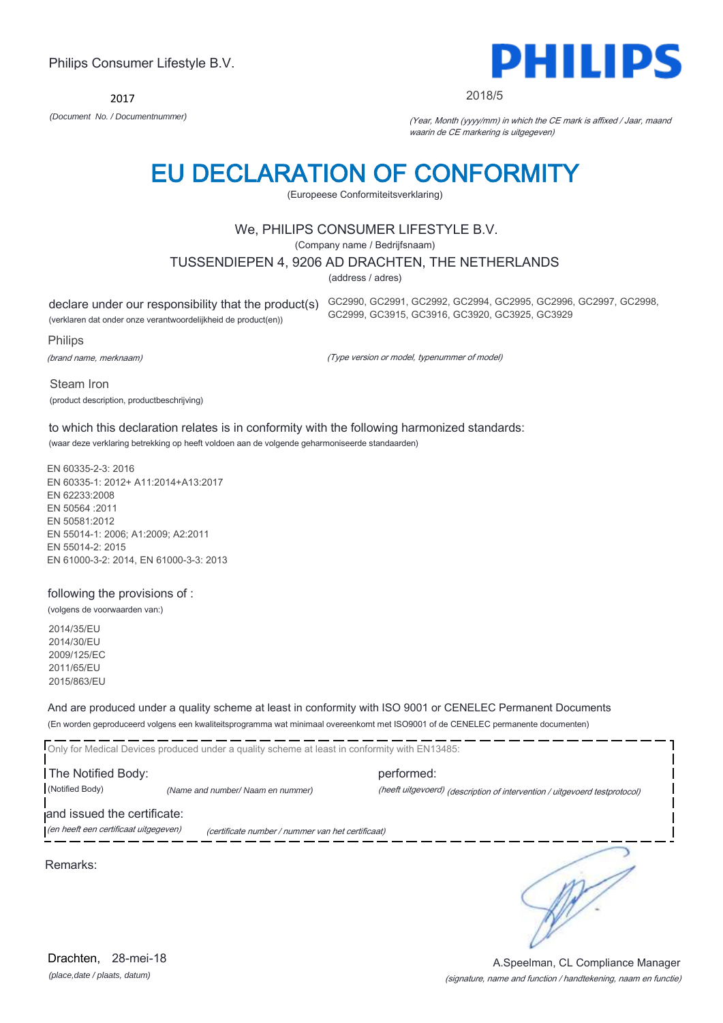Drachten. 28-mei-18

### *(place,date / plaats, datum)*

#### (signature, name and function / handtekening, naam en functie) A.Speelman, CL Compliance Manager

Philips Consumer Lifestyle B.V.

2017

### *(Document No. / Documentnummer)* (Year, Month (yyyy/mm) in which the CE mark is affixed / Jaar, maand

### waarin de CE markering is uitgegeven)

### EU DECLARATION OF CONFORMITY

(Europeese Conformiteitsverklaring)

#### We, PHILIPS CONSUMER LIFESTYLE B.V.

(Company name / Bedrijfsnaam)

#### TUSSENDIEPEN 4, 9206 AD DRACHTEN, THE NETHERLANDS

(address / adres)

declare under our responsibility that the product(s) GC2990, GC2991, GC2992, GC2994, GC2995, GC2996, GC2997, GC2998,

(verklaren dat onder onze verantwoordelijkheid de product(en))

Philips

(brand name, merknaam)

(Type version or model, typenummer of model)

GC2999, GC3915, GC3916, GC3920, GC3925, GC3929

Steam Iron (product description, productbeschrijving)

to which this declaration relates is in conformity with the following harmonized standards: (waar deze verklaring betrekking op heeft voldoen aan de volgende geharmoniseerde standaarden)

EN 60335-2-3: 2016 EN 60335-1: 2012+ A11:2014+A13:2017 EN 62233:2008 EN 50564 :2011 EN 50581:2012 EN 55014-1: 2006; A1:2009; A2:2011 EN 55014-2: 2015 EN 61000-3-2: 2014, EN 61000-3-3: 2013

#### following the provisions of :

(volgens de voorwaarden van:)

2014/35/EU 2014/30/EU 2009/125/EC 2011/65/EU 2015/863/EU

And are produced under a quality scheme at least in conformity with ISO 9001 or CENELEC Permanent Documents (En worden geproduceerd volgens een kwaliteitsprogramma wat minimaal overeenkomt met ISO9001 of de CENELEC permanente documenten)

Only for Medical Devices produced under a quality scheme at least in conformity with EN13485: The Notified Body: performed: (Notified Body) *(Name and number/ Naam en nummer)* (heeft uitgevoerd) (description of intervention / uitgevoerd testprotocol) and issued the certificate: (en heeft een certificaat uitgegeven) (certificate number / nummer van het certificaat) ∍

Remarks:



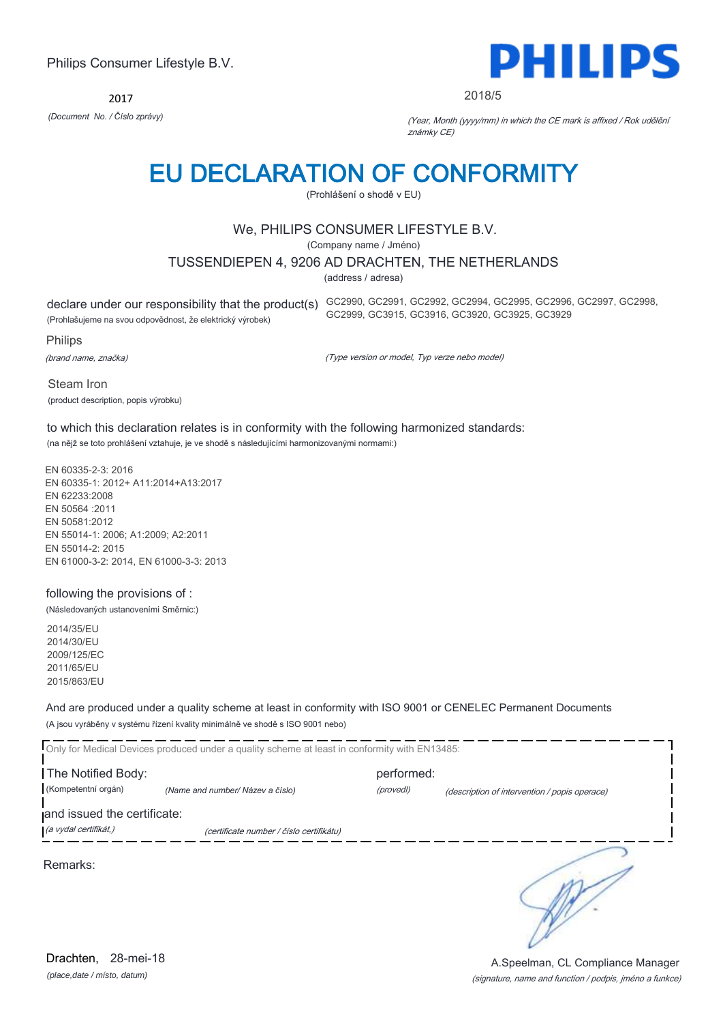*(place,date / místo, datum)* Drachten, 28-mei-18

#### Philips Consumer Lifestyle B.V.

2017 *(Document No. / Číslo zprávy)* (Year, Month (yyyy/mm) in which the CE mark is affixed / Rok udělění

### EU DECLARATION OF CONFORMITY

(Prohlášení o shodě v EU)

#### We, PHILIPS CONSUMER LIFESTYLE B.V.

(Company name / Jméno)

#### TUSSENDIEPEN 4, 9206 AD DRACHTEN, THE NETHERLANDS

(address / adresa)

(Prohlašujeme na svou odpovědnost, že elektrický výrobek)

declare under our responsibility that the product(s) GC2990, GC2991, GC2992, GC2994, GC2995, GC2996, GC2997, GC2998, GC2999, GC3915, GC3916, GC3920, GC3925, GC3929

Philips

(brand name, značka)

(Type version or model, Typ verze nebo model)

známky CE)

Steam Iron (product description, popis výrobku)

#### to which this declaration relates is in conformity with the following harmonized standards: (na nějž se toto prohlášení vztahuje, je ve shodě s následujícími harmonizovanými normami:)

EN 60335-2-3: 2016 EN 60335-1: 2012+ A11:2014+A13:2017

EN 62233:2008 EN 50564 :2011 EN 50581:2012 EN 55014-1: 2006; A1:2009; A2:2011 EN 55014-2: 2015 EN 61000-3-2: 2014, EN 61000-3-3: 2013

#### following the provisions of :

(Následovaných ustanoveními Směrnic:)

2014/35/EU 2014/30/EU 2009/125/EC 2011/65/EU 2015/863/EU

#### And are produced under a quality scheme at least in conformity with ISO 9001 or CENELEC Permanent Documents (A jsou vyráběny v systému řízení kvality minimálně ve shodě s ISO 9001 nebo)

| The Notified Body:          | Only for Medical Devices produced under a quality scheme at least in conformity with EN13485: | performed: |                                               |
|-----------------------------|-----------------------------------------------------------------------------------------------|------------|-----------------------------------------------|
| (Kompetentní orgán)         | (Name and number/ Název a číslo)                                                              | (provedl)  | (description of intervention / popis operace) |
| and issued the certificate: |                                                                                               |            |                                               |
| (a vydal certifikát,)       | (certificate number / číslo certifikátu)                                                      |            |                                               |
| Remarks:                    |                                                                                               |            |                                               |

(signature, name and function / podpis, jméno a funkce) A.Speelman, CL Compliance Manager

PHILIPS

#### 2018/5

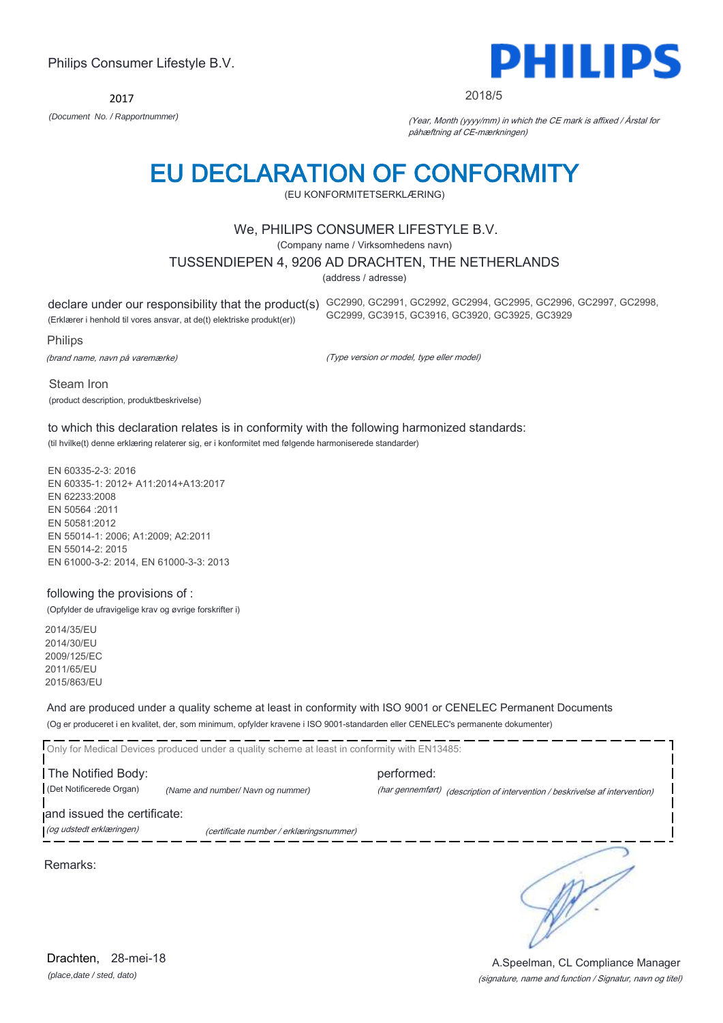2017 *(Document No. / Rapportnummer)* (Year, Month (yyyy/mm) in which the CE mark is affixed / Årstal for

### EU DECLARATION OF CONFORMITY

(EU KONFORMITETSERKLÆRING)

#### We, PHILIPS CONSUMER LIFESTYLE B.V.

(Company name / Virksomhedens navn)

#### TUSSENDIEPEN 4, 9206 AD DRACHTEN, THE NETHERLANDS

(address / adresse)

(Erklærer i henhold til vores ansvar, at de(t) elektriske produkt(er))

declare under our responsibility that the product(s) GC2990, GC2991, GC2992, GC2994, GC2995, GC2996, GC2997, GC2998, GC2999, GC3915, GC3916, GC3920, GC3925, GC3929

Philips

(brand name, navn på varemærke)

(Type version or model, type eller model)

Steam Iron (product description, produktbeskrivelse)

to which this declaration relates is in conformity with the following harmonized standards: (til hvilke(t) denne erklæring relaterer sig, er i konformitet med følgende harmoniserede standarder)

EN 60335-2-3: 2016 EN 60335-1: 2012+ A11:2014+A13:2017 EN 62233:2008 EN 50564 :2011 EN 50581:2012 EN 55014-1: 2006; A1:2009; A2:2011 EN 55014-2: 2015 EN 61000-3-2: 2014, EN 61000-3-3: 2013

#### following the provisions of :

(Opfylder de ufravigelige krav og øvrige forskrifter i)

2014/35/EU 2014/30/EU 2009/125/EC 2011/65/EU 2015/863/EU

And are produced under a quality scheme at least in conformity with ISO 9001 or CENELEC Permanent Documents (Og er produceret i en kvalitet, der, som minimum, opfylder kravene i ISO 9001-standarden eller CENELEC's permanente dokumenter)

Only for Medical Devices produced under a quality scheme at least in conformity with EN13485: The Notified Body: example and the performed: (Det Notificerede Organ) *(Name and number/ Navn og nummer)* (har gennemført) (description of intervention / beskrivelse af intervention) and issued the certificate: (og udstedt erklæringen) (certificate number / erklæringsnummer)

Remarks:

(signature, name and function / Signatur, navn og titel) A.Speelman, CL Compliance Manager



∍



#### 2018/5

påhæftning af CE-mærkningen)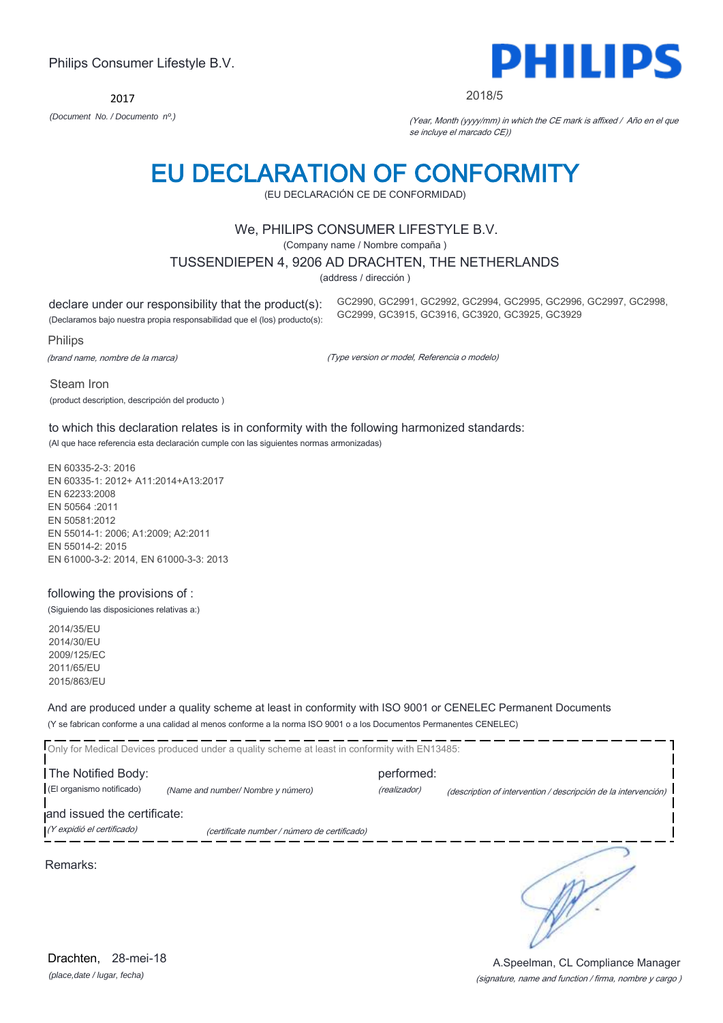2017

### EU DECLARATION OF CONFORMITY

(EU DECLARACIÓN CE DE CONFORMIDAD)

#### We, PHILIPS CONSUMER LIFESTYLE B.V.

(Company name / Nombre compaña )

#### TUSSENDIEPEN 4, 9206 AD DRACHTEN, THE NETHERLANDS

(address / dirección )

declare under our responsibility that the product(s):

(Declaramos bajo nuestra propia responsabilidad que el (los) producto(s):

Philips

(brand name, nombre de la marca)

(Type version or model, Referencia o modelo)

Steam Iron (product description, descripción del producto )

to which this declaration relates is in conformity with the following harmonized standards: (Al que hace referencia esta declaración cumple con las siguientes normas armonizadas)

EN 60335-2-3: 2016 EN 60335-1: 2012+ A11:2014+A13:2017 EN 62233:2008 EN 50564 :2011 EN 50581:2012 EN 55014-1: 2006; A1:2009; A2:2011 EN 55014-2: 2015 EN 61000-3-2: 2014, EN 61000-3-3: 2013

#### following the provisions of :

(Siguiendo las disposiciones relativas a:)

2014/35/EU 2014/30/EU 2009/125/EC 2011/65/EU 2015/863/EU

And are produced under a quality scheme at least in conformity with ISO 9001 or CENELEC Permanent Documents (Y se fabrican conforme a una calidad al menos conforme a la norma ISO 9001 o a los Documentos Permanentes CENELEC)

|                             | Only for Medical Devices produced under a quality scheme at least in conformity with EN13485: |              |                                                                |
|-----------------------------|-----------------------------------------------------------------------------------------------|--------------|----------------------------------------------------------------|
| The Notified Body:          |                                                                                               | performed:   |                                                                |
| (El organismo notificado)   | (Name and number/ Nombre y número)                                                            | (realizador) | (description of intervention / descripción de la intervención) |
| and issued the certificate: |                                                                                               |              |                                                                |
| (Y expidió el certificado)  | (certificate number / número de certificado)                                                  |              |                                                                |
|                             |                                                                                               |              |                                                                |

Remarks:



.<br>..

(signature, name and function / firma, nombre y cargo )

A.Speelman, CL Compliance Manager



2018/5

GC2990, GC2991, GC2992, GC2994, GC2995, GC2996, GC2997, GC2998,

GC2999, GC3915, GC3916, GC3920, GC3925, GC3929

*(Document No. / Documento nº.)* (Year, Month (yyyy/mm) in which the CE mark is affixed / Año en el que se incluye el marcado CE))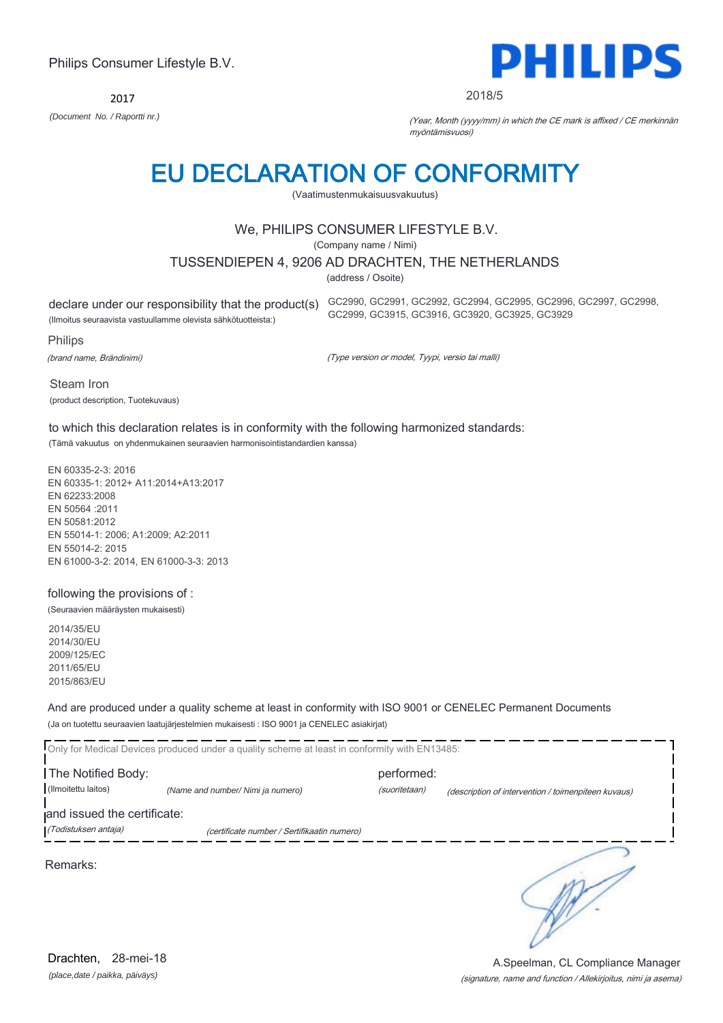2017



2018/5

*(Document No. / Raportti nr.)* (Year, Month (yyyy/mm) in which the CE mark is affixed / CE merkinnän myöntämisvuosi)

### EU DECLARATION OF CONFORMITY

(Vaatimustenmukaisuusvakuutus)

#### We, PHILIPS CONSUMER LIFESTYLE B.V.

(Company name / Nimi)

#### TUSSENDIEPEN 4, 9206 AD DRACHTEN, THE NETHERLANDS

(address / Osoite)

(Ilmoitus seuraavista vastuullamme olevista sähkötuotteista:)

declare under our responsibility that the product(s) GC2990, GC2991, GC2992, GC2994, GC2995, GC2996, GC2997, GC2998, GC2999, GC3915, GC3916, GC3920, GC3925, GC3929

Philips

(brand name, Brändinimi)

(Type version or model, Tyypi, versio tai malli)

Steam Iron (product description, Tuotekuvaus)

to which this declaration relates is in conformity with the following harmonized standards: (Tämä vakuutus on yhdenmukainen seuraavien harmonisointistandardien kanssa)

EN 60335-2-3: 2016 EN 60335-1: 2012+ A11:2014+A13:2017 EN 62233:2008 EN 50564 :2011 EN 50581:2012 EN 55014-1: 2006; A1:2009; A2:2011 EN 55014-2: 2015 EN 61000-3-2: 2014, EN 61000-3-3: 2013

#### following the provisions of :

(Seuraavien määräysten mukaisesti)

2014/35/EU 2014/30/EU 2009/125/EC 2011/65/EU 2015/863/EU

And are produced under a quality scheme at least in conformity with ISO 9001 or CENELEC Permanent Documents (Ja on tuotettu seuraavien laatujärjestelmien mukaisesti : ISO 9001 ja CENELEC asiakirjat)

|                                           | Only for Medical Devices produced under a quality scheme at least in conformity with EN13485: |                             |                                                     |
|-------------------------------------------|-----------------------------------------------------------------------------------------------|-----------------------------|-----------------------------------------------------|
| The Notified Body:<br>(Ilmoitettu laitos) | (Name and number/ Nimi ja numero)                                                             | performed:<br>(suoritetaan) | (description of intervention / toimenpiteen kuvaus) |
| and issued the certificate:               |                                                                                               |                             |                                                     |
| (Todistuksen antaja)                      | (certificate number / Sertifikaatin numero)                                                   |                             |                                                     |
| Remarks:                                  |                                                                                               |                             |                                                     |

*(place,date / paikka, päiväys)* Drachten, 28-mei-18

#### (signature, name and function / Allekirjoitus, nimi ja asema) A.Speelman, CL Compliance Manager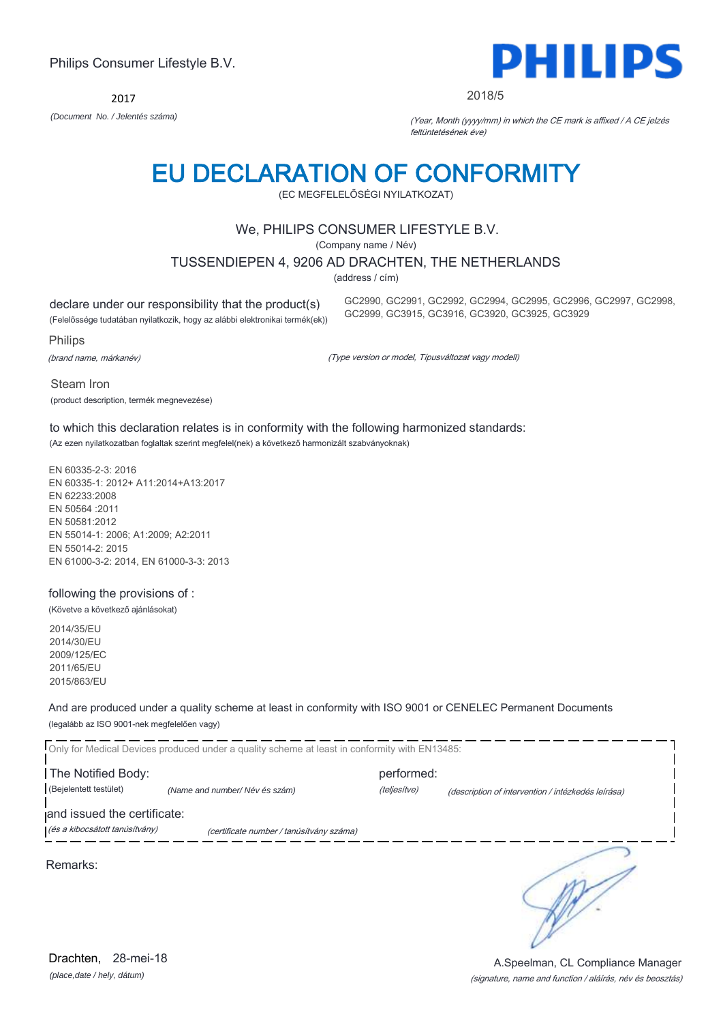(signature, name and function / aláírás, név és beosztás) A.Speelman, CL Compliance Manager

### Philips Consumer Lifestyle B.V.

2017

*(Document No. / Jelentés száma)* (Year, Month (yyyy/mm) in which the CE mark is affixed / A CE jelzés feltüntetésének éve)

GC2990, GC2991, GC2992, GC2994, GC2995, GC2996, GC2997, GC2998,

GC2999, GC3915, GC3916, GC3920, GC3925, GC3929

### EU DECLARATION OF CONFORMITY

(EC MEGFELELŐSÉGI NYILATKOZAT)

#### We, PHILIPS CONSUMER LIFESTYLE B.V.

(Company name / Név)

TUSSENDIEPEN 4, 9206 AD DRACHTEN, THE NETHERLANDS

(address / cím)

declare under our responsibility that the product(s)

(Felelőssége tudatában nyilatkozik, hogy az alábbi elektronikai termék(ek))

Philips

(brand name, márkanév)

Steam Iron

(Type version or model, Típusváltozat vagy modell)

(product description, termék megnevezése) to which this declaration relates is in conformity with the following harmonized standards:

(Az ezen nyilatkozatban foglaltak szerint megfelel(nek) a következő harmonizált szabványoknak)

EN 60335-2-3: 2016 EN 60335-1: 2012+ A11:2014+A13:2017 EN 62233:2008 EN 50564 :2011 EN 50581:2012 EN 55014-1: 2006; A1:2009; A2:2011 EN 55014-2: 2015 EN 61000-3-2: 2014, EN 61000-3-3: 2013

#### following the provisions of :

(Követve a következő ajánlásokat)

2014/35/EU 2014/30/EU 2009/125/EC 2011/65/EU 2015/863/EU

And are produced under a quality scheme at least in conformity with ISO 9001 or CENELEC Permanent Documents (legalább az ISO 9001-nek megfelelően vagy)

|                                | Only for Medical Devices produced under a quality scheme at least in conformity with EN13485: |              |                                                    |
|--------------------------------|-----------------------------------------------------------------------------------------------|--------------|----------------------------------------------------|
| The Notified Body:             |                                                                                               | performed:   |                                                    |
| (Bejelentett testület)         | (Name and number/Név és szám)                                                                 | (teljesítve) | (description of intervention / intézkedés leírása) |
| and issued the certificate:    |                                                                                               |              |                                                    |
| (és a kibocsátott tanúsítvány) | (certificate number / tanúsítvány száma)                                                      |              |                                                    |
| Remarks:                       |                                                                                               |              |                                                    |

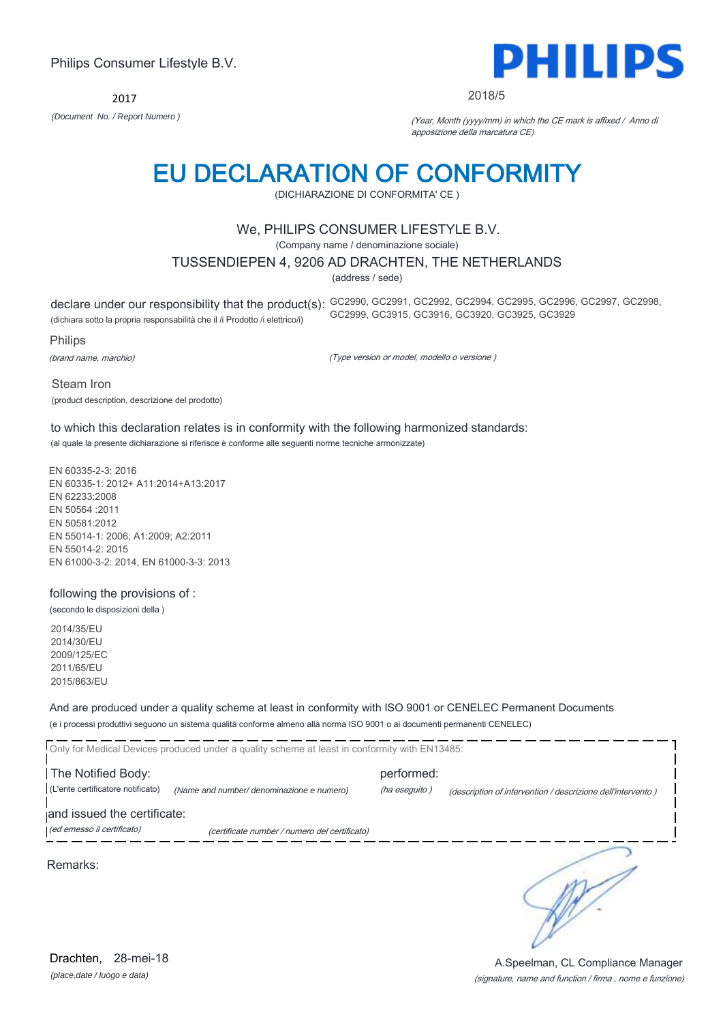2017



#### 2018/5

*(Document No. / Report Numero )* (Year, Month (yyyy/mm) in which the CE mark is affixed / Anno di apposizione della marcatura CE)

# EU DECLARATION OF CONFORMITY

(DICHIARAZIONE DI CONFORMITA' CE )

#### We, PHILIPS CONSUMER LIFESTYLE B.V.

(Company name / denominazione sociale)

#### TUSSENDIEPEN 4, 9206 AD DRACHTEN, THE NETHERLANDS

(address / sede)

declare under our responsibility that the product(s): GC2990, GC2991, GC2992, GC2994, GC2995, GC2996, GC2997, GC2998,

(dichiara sotto la propria responsabilità che il /i Prodotto /i elettrico/i)

Philips

(brand name, marchio)

(Type version or model, modello o versione )

GC2999, GC3915, GC3916, GC3920, GC3925, GC3929

Steam Iron (product description, descrizione del prodotto)

to which this declaration relates is in conformity with the following harmonized standards: (al quale la presente dichiarazione si riferisce è conforme alle seguenti norme tecniche armonizzate)

EN 60335-2-3: 2016 EN 60335-1: 2012+ A11:2014+A13:2017 EN 62233:2008 EN 50564 :2011 EN 50581:2012 EN 55014-1: 2006; A1:2009; A2:2011 EN 55014-2: 2015 EN 61000-3-2: 2014, EN 61000-3-3: 2013

#### following the provisions of :

(secondo le disposizioni della )

2014/35/EU 2014/30/EU 2009/125/EC 2011/65/EU 2015/863/EU

And are produced under a quality scheme at least in conformity with ISO 9001 or CENELEC Permanent Documents (e i processi produttivi seguono un sistema qualità conforme almeno alla norma ISO 9001 o ai documenti permanenti CENELEC)

|                                                           | Only for Medical Devices produced under a quality scheme at least in conformity with EN13485: |                             |                                                             |
|-----------------------------------------------------------|-----------------------------------------------------------------------------------------------|-----------------------------|-------------------------------------------------------------|
| The Notified Body:<br>(L'ente certificatore notificato)   | (Name and number/ denominazione e numero)                                                     | performed:<br>(ha eseguito) | (description of intervention / descrizione dell'intervento) |
| and issued the certificate:<br>(ed emesso il certificato) | (certificate number / numero del certificato)                                                 |                             |                                                             |
| Remarks:                                                  |                                                                                               |                             |                                                             |

*(place,date / luogo e data)* Drachten, 28-mei-18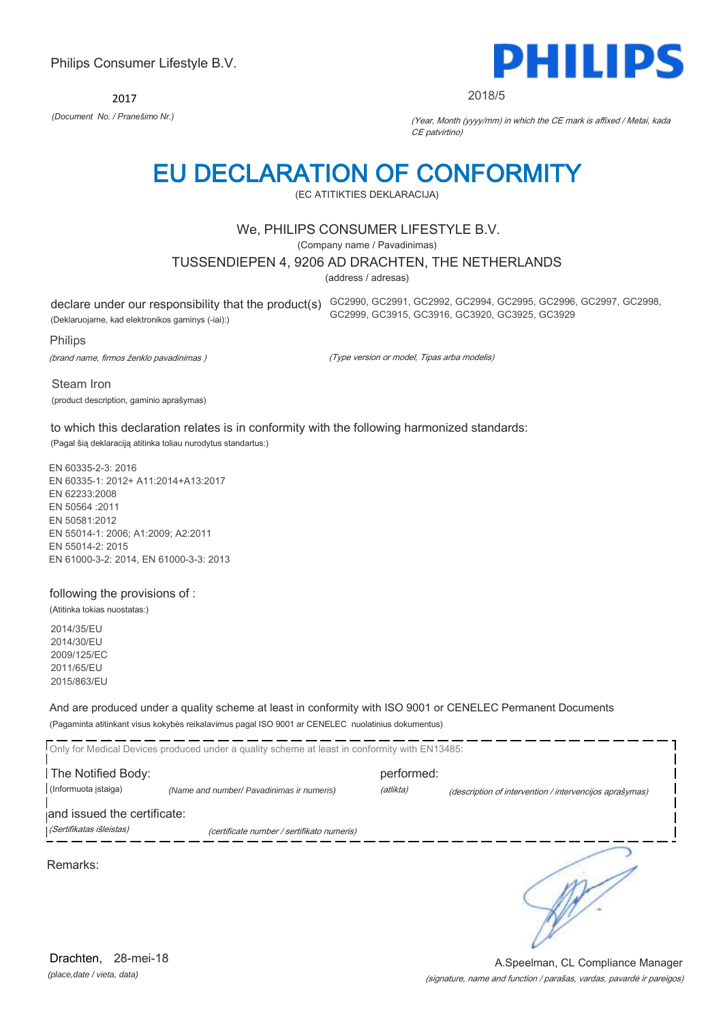2017



2018/5

*(Document No. / Pranešimo Nr.)* (Year, Month (yyyy/mm) in which the CE mark is affixed / Metai, kada CE patvirtino)

### EU DECLARATION OF CONFORMITY

(EC ATITIKTIES DEKLARACIJA)

#### We, PHILIPS CONSUMER LIFESTYLE B.V.

(Company name / Pavadinimas)

#### TUSSENDIEPEN 4, 9206 AD DRACHTEN, THE NETHERLANDS

(address / adresas)

declare under our responsibility that the product(s) GC2990, GC2991, GC2992, GC2994, GC2995, GC2996, GC2997, GC2998,

(Deklaruojame, kad elektronikos gaminys (-iai):)

Philips

(brand name, firmos ženklo pavadinimas )

(Type version or model, Tipas arba modelis)

GC2999, GC3915, GC3916, GC3920, GC3925, GC3929

Steam Iron (product description, gaminio aprašymas)

#### to which this declaration relates is in conformity with the following harmonized standards:

(Pagal šią deklaraciją atitinka toliau nurodytus standartus:)

EN 60335-2-3: 2016 EN 60335-1: 2012+ A11:2014+A13:2017 EN 62233:2008 EN 50564 :2011 EN 50581:2012 EN 55014-1: 2006; A1:2009; A2:2011 EN 55014-2: 2015 EN 61000-3-2: 2014, EN 61000-3-3: 2013

#### following the provisions of :

(Atitinka tokias nuostatas:)

2014/35/EU 2014/30/EU 2009/125/EC 2011/65/EU 2015/863/EU

And are produced under a quality scheme at least in conformity with ISO 9001 or CENELEC Permanent Documents (Pagaminta atitinkant visus kokybės reikalavimus pagal ISO 9001 ar CENELEC nuolatinius dokumentus)

|                             | Only for Medical Devices produced under a quality scheme at least in conformity with EN13485: |            |                                                         |
|-----------------------------|-----------------------------------------------------------------------------------------------|------------|---------------------------------------------------------|
| The Notified Body:          |                                                                                               | performed: |                                                         |
| (Informuota įstaiga)        | (Name and number/ Pavadinimas ir numeris)                                                     | (atlikta)  | (description of intervention / intervencijos aprašymas) |
| and issued the certificate: |                                                                                               |            |                                                         |
| (Sertifikatas išleistas)    | (certificate number / sertifikato numeris)                                                    |            |                                                         |
| Remarks:                    |                                                                                               |            |                                                         |

*(place,date / vieta, data)* Drachten, 28-mei-18

#### (signature, name and function / parašas, vardas, pavardė ir pareigos) A.Speelman, CL Compliance Manager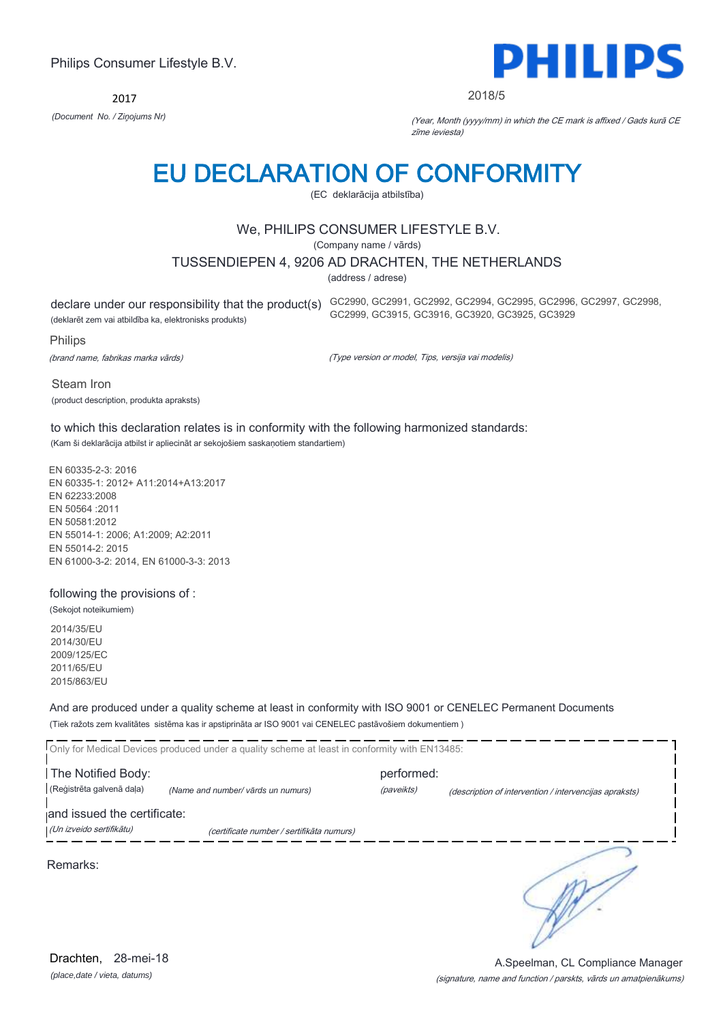2017



2018/5

*(Document No. / Ziņojums Nr)* (Year, Month (yyyy/mm) in which the CE mark is affixed / Gads kurā CE zīme ieviesta)

### EU DECLARATION OF CONFORMITY

(EC deklarācija atbilstība)

#### We, PHILIPS CONSUMER LIFESTYLE B.V.

(Company name / vārds)

TUSSENDIEPEN 4, 9206 AD DRACHTEN, THE NETHERLANDS

(address / adrese)

(deklarēt zem vai atbildība ka, elektronisks produkts)

declare under our responsibility that the product(s) GC2990, GC2991, GC2992, GC2994, GC2995, GC2996, GC2997, GC2998, GC2999, GC3915, GC3916, GC3920, GC3925, GC3929

Philips

(brand name, fabrikas marka vārds)

(Type version or model, Tips, versija vai modelis)

Steam Iron (product description, produkta apraksts)

to which this declaration relates is in conformity with the following harmonized standards: (Kam ši deklarācija atbilst ir apliecināt ar sekojošiem saskaņotiem standartiem)

EN 60335-2-3: 2016 EN 60335-1: 2012+ A11:2014+A13:2017 EN 62233:2008 EN 50564 :2011 EN 50581:2012 EN 55014-1: 2006; A1:2009; A2:2011 EN 55014-2: 2015 EN 61000-3-2: 2014, EN 61000-3-3: 2013

#### following the provisions of :

(Sekojot noteikumiem) 2014/35/EU 2014/30/EU 2009/125/EC

2011/65/EU 2015/863/EU

And are produced under a quality scheme at least in conformity with ISO 9001 or CENELEC Permanent Documents (Tiek ražots zem kvalitātes sistēma kas ir apstiprināta ar ISO 9001 vai CENELEC pastāvošiem dokumentiem )

|                             | Only for Medical Devices produced under a quality scheme at least in conformity with EN13485: |            |                                                        |
|-----------------------------|-----------------------------------------------------------------------------------------------|------------|--------------------------------------------------------|
| The Notified Body:          |                                                                                               | performed: |                                                        |
| (Reģistrēta galvenā daļa)   | (Name and number/ vārds un numurs)                                                            | (paveikts) | (description of intervention / intervencijas apraksts) |
| and issued the certificate: |                                                                                               |            |                                                        |
| (Un izveido sertifikātu)    | (certificate number / sertifikāta numurs)                                                     |            |                                                        |
| Remarks:                    |                                                                                               |            |                                                        |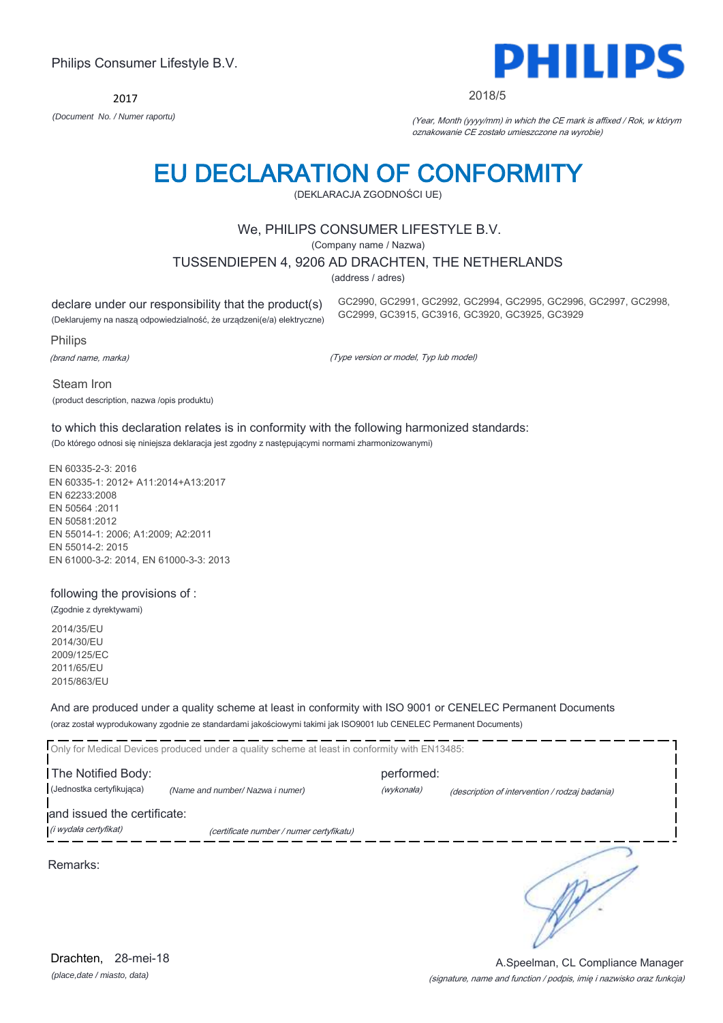2017



2018/5

GC2990, GC2991, GC2992, GC2994, GC2995, GC2996, GC2997, GC2998,

GC2999, GC3915, GC3916, GC3920, GC3925, GC3929

*(Document No. / Numer raportu)* (Year, Month (yyyy/mm) in which the CE mark is affixed / Rok, w którym oznakowanie CE zostało umieszczone na wyrobie)

# EU DECLARATION OF CONFORMITY

(DEKLARACJA ZGODNOŚCI UE)

#### We, PHILIPS CONSUMER LIFESTYLE B.V.

(Company name / Nazwa)

TUSSENDIEPEN 4, 9206 AD DRACHTEN, THE NETHERLANDS

(address / adres)

declare under our responsibility that the product(s)

(Deklarujemy na naszą odpowiedzialność, że urządzeni(e/a) elektryczne)

Philips

(brand name, marka)

(Type version or model, Typ lub model)

Steam Iron (product description, nazwa /opis produktu)

to which this declaration relates is in conformity with the following harmonized standards: (Do którego odnosi się niniejsza deklaracja jest zgodny z następującymi normami zharmonizowanymi)

EN 60335-2-3: 2016 EN 60335-1: 2012+ A11:2014+A13:2017 EN 62233:2008 EN 50564 :2011 EN 50581:2012 EN 55014-1: 2006; A1:2009; A2:2011 EN 55014-2: 2015 EN 61000-3-2: 2014, EN 61000-3-3: 2013

#### following the provisions of :

(Zgodnie z dyrektywami) 2014/35/EU 2014/30/EU 2009/125/EC 2011/65/EU 2015/863/EU

And are produced under a quality scheme at least in conformity with ISO 9001 or CENELEC Permanent Documents (oraz został wyprodukowany zgodnie ze standardami jakościowymi takimi jak ISO9001 lub CENELEC Permanent Documents)

|                                                      | Only for Medical Devices produced under a quality scheme at least in conformity with EN13485: |                          |                                                |  |
|------------------------------------------------------|-----------------------------------------------------------------------------------------------|--------------------------|------------------------------------------------|--|
| The Notified Body:<br>(Jednostka certyfikująca)      | (Name and number/ Nazwa i numer)                                                              | performed:<br>(wykonała) | (description of intervention / rodzaj badania) |  |
| and issued the certificate:<br>(i wydała certyfikat) | (certificate number / numer certyfikatu)                                                      |                          |                                                |  |
| Remarks:                                             |                                                                                               |                          |                                                |  |

(signature, name and function / podpis, imię i nazwisko oraz funkcja) A.Speelman, CL Compliance Manager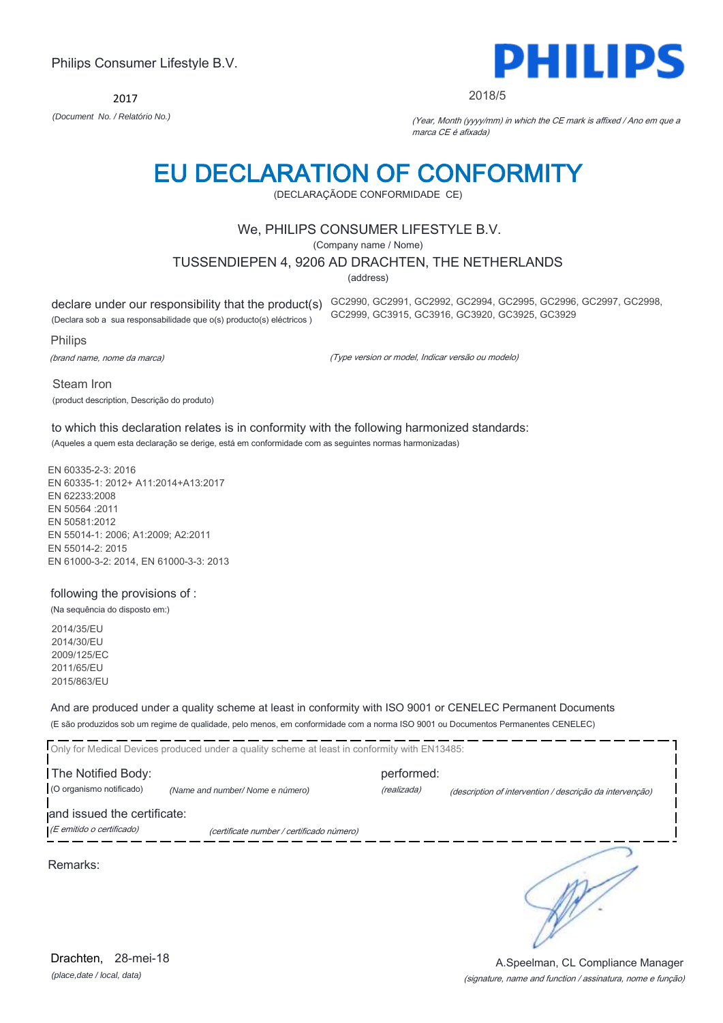2017



#### 2018/5

*(Document No. / Relatório No.)* (Year, Month (yyyy/mm) in which the CE mark is affixed / Ano em que a marca CE é afixada)

# EU DECLARATION OF CONFORMITY

(DECLARAÇÃODE CONFORMIDADE CE)

#### We, PHILIPS CONSUMER LIFESTYLE B.V.

(Company name / Nome)

#### TUSSENDIEPEN 4, 9206 AD DRACHTEN, THE NETHERLANDS

(address)

declare under our responsibility that the product(s) GC2990, GC2991, GC2992, GC2994, GC2995, GC2996, GC2997, GC2998,

(Declara sob a sua responsabilidade que o(s) producto(s) eléctricos )

Philips

(brand name, nome da marca)

(Type version or model, Indicar versão ou modelo)

GC2999, GC3915, GC3916, GC3920, GC3925, GC3929

Steam Iron (product description, Descrição do produto)

to which this declaration relates is in conformity with the following harmonized standards: (Aqueles a quem esta declaração se derige, está em conformidade com as seguintes normas harmonizadas)

EN 60335-2-3: 2016 EN 60335-1: 2012+ A11:2014+A13:2017 EN 62233:2008 EN 50564 :2011 EN 50581:2012 EN 55014-1: 2006; A1:2009; A2:2011 EN 55014-2: 2015 EN 61000-3-2: 2014, EN 61000-3-3: 2013

#### following the provisions of :

(Na sequência do disposto em:)

2014/35/EU 2014/30/EU 2009/125/EC 2011/65/EU 2015/863/EU

And are produced under a quality scheme at least in conformity with ISO 9001 or CENELEC Permanent Documents (E são produzidos sob um regime de qualidade, pelo menos, em conformidade com a norma ISO 9001 ou Documentos Permanentes CENELEC)

|                                                          | Only for Medical Devices produced under a quality scheme at least in conformity with EN13485: |                           |                                                          |
|----------------------------------------------------------|-----------------------------------------------------------------------------------------------|---------------------------|----------------------------------------------------------|
| The Notified Body:<br>(O organismo notificado)           | (Name and number/Nome e número)                                                               | performed:<br>(realizada) | (description of intervention / descrição da intervenção) |
| and issued the certificate:<br>(E emitido o certificado) | (certificate number / certificado número)                                                     |                           |                                                          |
|                                                          |                                                                                               |                           |                                                          |

Remarks:

*(place,date / local, data)* Drachten, 28-mei-18

#### (signature, name and function / assinatura, nome e função) A.Speelman, CL Compliance Manager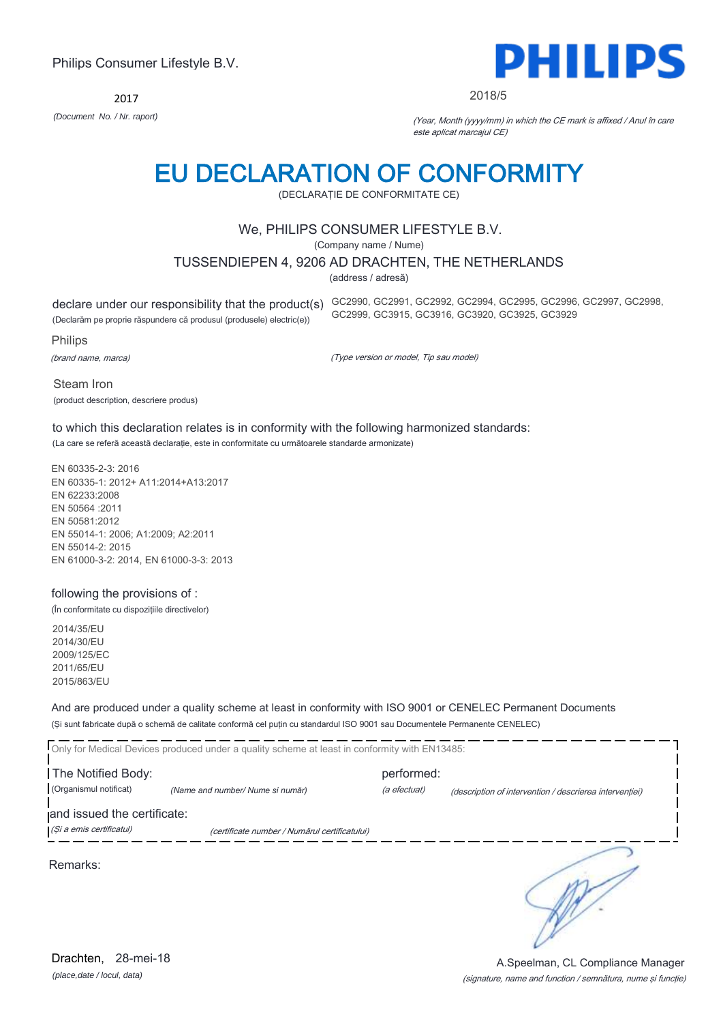2017



#### 2018/5

*(Document No. / Nr. raport)* (Year, Month (yyyy/mm) in which the CE mark is affixed / Anul în care este aplicat marcajul CE)

# EU DECLARATION OF CONFORMITY

(DECLARAŢIE DE CONFORMITATE CE)

#### We, PHILIPS CONSUMER LIFESTYLE B.V.

(Company name / Nume)

#### TUSSENDIEPEN 4, 9206 AD DRACHTEN, THE NETHERLANDS

(address / adresă)

declare under our responsibility that the product(s) GC2990, GC2991, GC2992, GC2994, GC2995, GC2996, GC2997, GC2998,

(Declarăm pe proprie răspundere că produsul (produsele) electric(e))

Philips

(brand name, marca)

(Type version or model, Tip sau model)

GC2999, GC3915, GC3916, GC3920, GC3925, GC3929

Steam Iron (product description, descriere produs)

to which this declaration relates is in conformity with the following harmonized standards: (La care se referă această declaraţie, este in conformitate cu următoarele standarde armonizate)

EN 60335-2-3: 2016 EN 60335-1: 2012+ A11:2014+A13:2017 EN 62233:2008 EN 50564 :2011 EN 50581:2012 EN 55014-1: 2006; A1:2009; A2:2011 EN 55014-2: 2015 EN 61000-3-2: 2014, EN 61000-3-3: 2013

#### following the provisions of :

(În conformitate cu dispoziţiile directivelor)

2014/35/EU 2014/30/EU 2009/125/EC 2011/65/EU 2015/863/EU

And are produced under a quality scheme at least in conformity with ISO 9001 or CENELEC Permanent Documents (Şi sunt fabricate după o schemă de calitate conformă cel puţin cu standardul ISO 9001 sau Documentele Permanente CENELEC)

|                                                         | Only for Medical Devices produced under a quality scheme at least in conformity with EN13485: |                            |                                                         |
|---------------------------------------------------------|-----------------------------------------------------------------------------------------------|----------------------------|---------------------------------------------------------|
| The Notified Body:<br>(Organismul notificat)            | (Name and number/Nume si număr)                                                               | performed:<br>(a efectuat) | (description of intervention / descrierea interventiei) |
| and issued the certificate:<br>(Și a emis certificatul) | (certificate number / Numărul certificatului)                                                 |                            |                                                         |
|                                                         |                                                                                               |                            |                                                         |

Remarks:

**RAY** 

*(place,date / locul, data)* Drachten, 28-mei-18

#### (signature, name and function / semnătura, nume şi funcţie) A.Speelman, CL Compliance Manager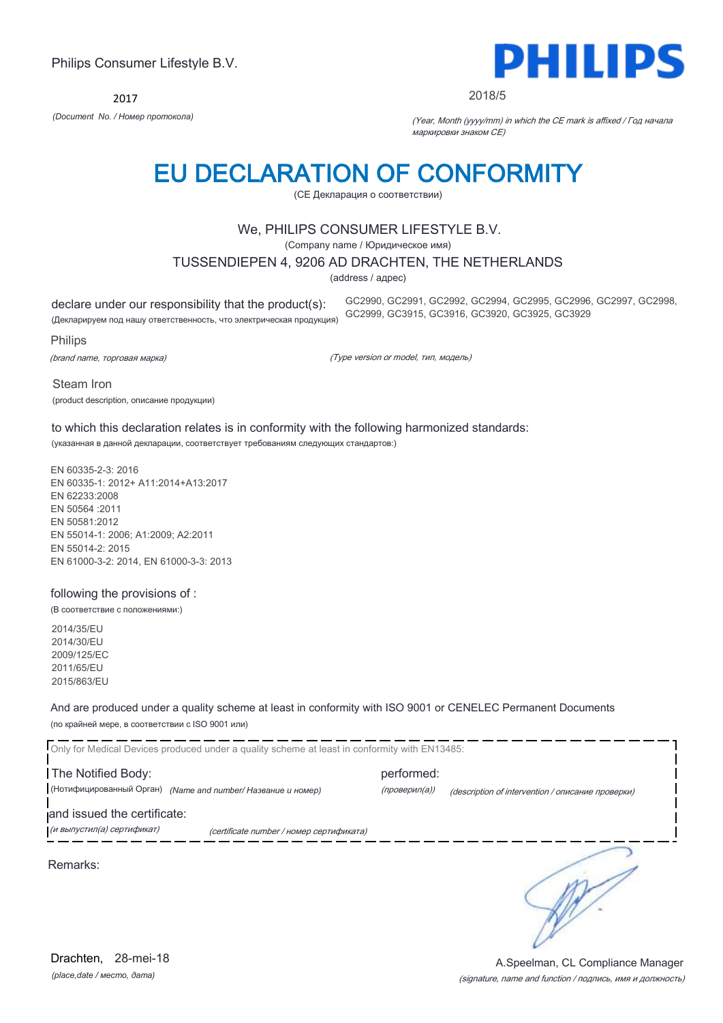2017



2018/5

*(Document No. / Номер протокола)* (Year, Month (yyyy/mm) in which the CE mark is affixed / Год начала маркировки знаком CE)

# EU DECLARATION OF CONFORMITY

(CE Декларация о соответствии)

#### We, PHILIPS CONSUMER LIFESTYLE B.V.

(Company name / Юридическое имя)

#### TUSSENDIEPEN 4, 9206 AD DRACHTEN, THE NETHERLANDS

(address / адрес)

declare under our responsibility that the product(s): (Декларируем под нашу ответственность, что электрическая продукция)

GC2990, GC2991, GC2992, GC2994, GC2995, GC2996, GC2997, GC2998, GC2999, GC3915, GC3916, GC3920, GC3925, GC3929

Philips

(brand name, торговая марка)

(Type version or model, тип, модель)

Steam Iron (product description, описание продукции)

to which this declaration relates is in conformity with the following harmonized standards: (указанная в данной декларации, соответствует требованиям следующих стандартов:)

EN 60335-2-3: 2016 EN 60335-1: 2012+ A11:2014+A13:2017 EN 62233:2008 EN 50564 :2011 EN 50581:2012 EN 55014-1: 2006; A1:2009; A2:2011 EN 55014-2: 2015 EN 61000-3-2: 2014, EN 61000-3-3: 2013

#### following the provisions of :

(В соответствие с положениями:)

2014/35/EU 2014/30/EU 2009/125/EC 2011/65/EU 2015/863/EU

And are produced under a quality scheme at least in conformity with ISO 9001 or CENELEC Permanent Documents (по крайней мере, в соответствии с ISO 9001 или)

Only for Medical Devices produced under a quality scheme at least in conformity with EN13485: The Notified Body: example and the performed: (Нотифицированный Орган) *(Name and number/ Название и номер)* (проверил(а)) (description of intervention / описание проверки) and issued the certificate: (и выпустил(а) сертификат) (certificate number / номер сертификата) ∍ Remarks: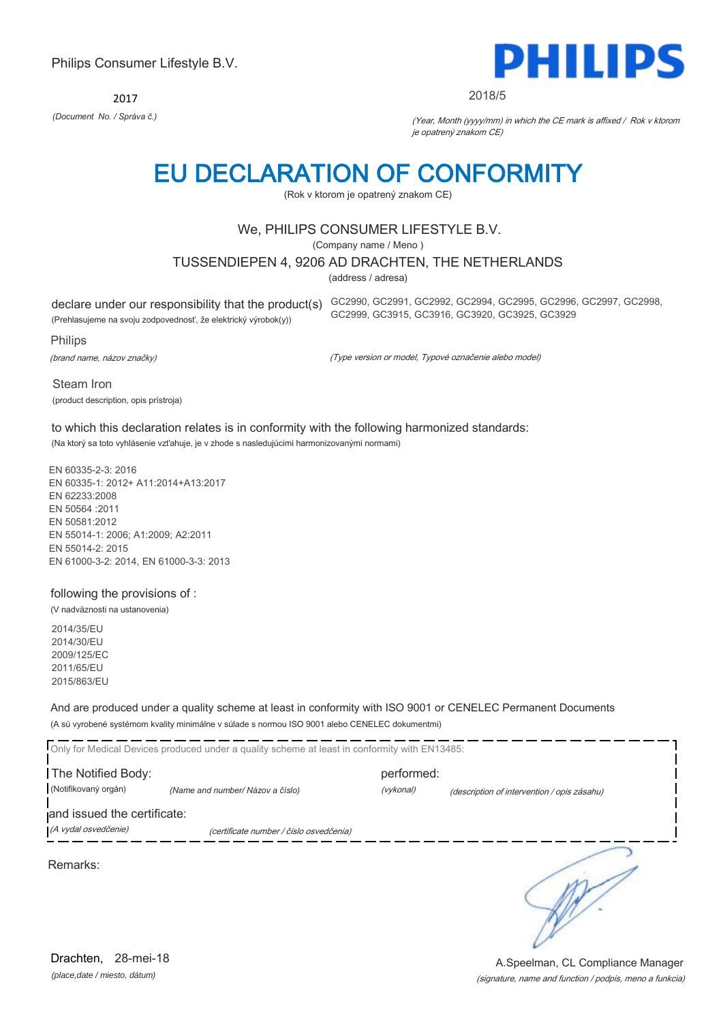2017



#### 2018/5

*(Document No. / Správa č.)* (Year, Month (yyyy/mm) in which the CE mark is affixed / Rok v ktorom je opatrený znakom CE)

### EU DECLARATION OF CONFORMITY

(Rok v ktorom je opatrený znakom CE)

#### We, PHILIPS CONSUMER LIFESTYLE B.V.

(Company name / Meno )

#### TUSSENDIEPEN 4, 9206 AD DRACHTEN, THE NETHERLANDS

(address / adresa)

declare under our responsibility that the product(s) GC2990, GC2991, GC2992, GC2994, GC2995, GC2996, GC2997, GC2998,

(Prehlasujeme na svoju zodpovednosť, že elektrický výrobok(y))

Philips

(brand name, názov značky)

(Type version or model, Typové označenie alebo model)

GC2999, GC3915, GC3916, GC3920, GC3925, GC3929

Steam Iron (product description, opis prístroja)

#### to which this declaration relates is in conformity with the following harmonized standards: (Na ktorý sa toto vyhlásenie vzťahuje, je v zhode s nasledujúcimi harmonizovanými normami)

EN 60335-2-3: 2016 EN 60335-1: 2012+ A11:2014+A13:2017 EN 62233:2008 EN 50564 :2011 EN 50581:2012 EN 55014-1: 2006; A1:2009; A2:2011 EN 55014-2: 2015 EN 61000-3-2: 2014, EN 61000-3-3: 2013

#### following the provisions of :

(V nadväznosti na ustanovenia)

2014/35/EU 2014/30/EU 2009/125/EC 2011/65/EU 2015/863/EU

And are produced under a quality scheme at least in conformity with ISO 9001 or CENELEC Permanent Documents (A sú vyrobené systémom kvality minimálne v súlade s normou ISO 9001 alebo CENELEC dokumentmi)

Only for Medical Devices produced under a quality scheme at least in conformity with EN13485: The Notified Body: example and the performed: (Notifikovaný orgán) *(Name and number/ Názov a číslo)* (vykonal) (description of intervention / opis zásahu) and issued the certificate: (A vydal osvedčenie) (certificate number / číslo osvedčenia) ∍ Remarks:

> (signature, name and function / podpis, meno a funkcia) A.Speelman, CL Compliance Manager

*(place,date / miesto, dátum)* Drachten, 28-mei-18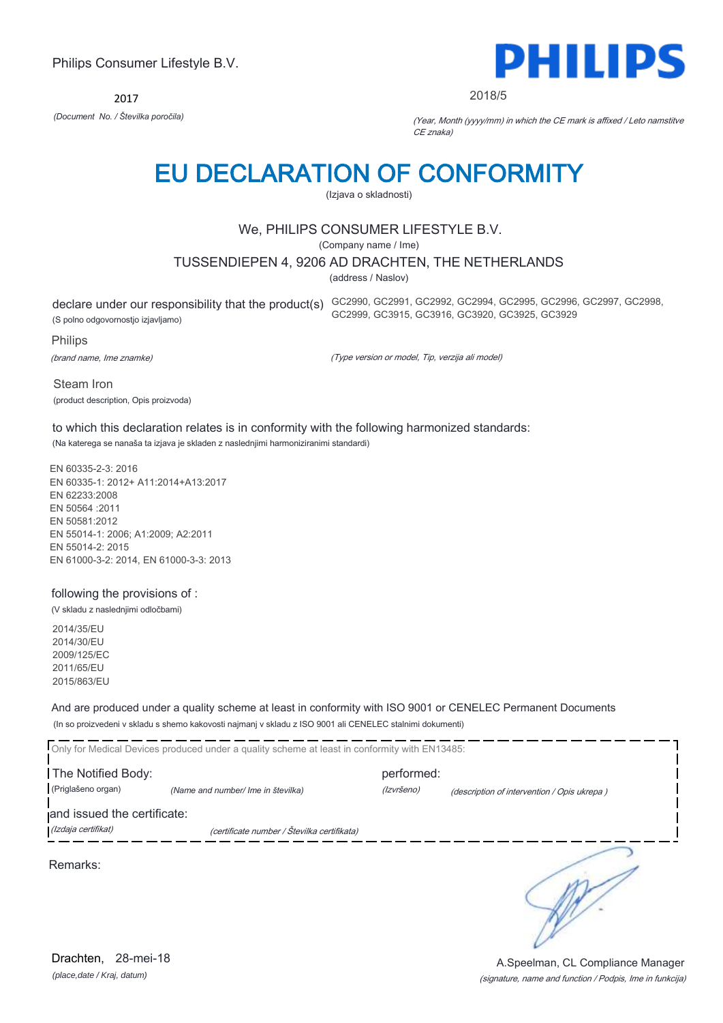2017



2018/5

*(Document No. / Številka poročila)* (Year, Month (yyyy/mm) in which the CE mark is affixed / Leto namstitve CE znaka)

# EU DECLARATION OF CONFORMITY

(Izjava o skladnosti)

#### We, PHILIPS CONSUMER LIFESTYLE B.V.

(Company name / Ime)

#### TUSSENDIEPEN 4, 9206 AD DRACHTEN, THE NETHERLANDS

(address / Naslov)

(S polno odgovornostjo izjavljamo)

declare under our responsibility that the product(s) GC2990, GC2991, GC2992, GC2994, GC2995, GC2996, GC2997, GC2998, GC2999, GC3915, GC3916, GC3920, GC3925, GC3929

Philips

(brand name, Ime znamke)

(Type version or model, Tip, verzija ali model)

Steam Iron (product description, Opis proizvoda)

to which this declaration relates is in conformity with the following harmonized standards: (Na katerega se nanaša ta izjava je skladen z naslednjimi harmoniziranimi standardi)

EN 60335-2-3: 2016 EN 60335-1: 2012+ A11:2014+A13:2017 EN 62233:2008 EN 50564 :2011 EN 50581:2012 EN 55014-1: 2006; A1:2009; A2:2011 EN 55014-2: 2015 EN 61000-3-2: 2014, EN 61000-3-3: 2013

#### following the provisions of :

(V skladu z naslednjimi odločbami)

2014/35/EU 2014/30/EU 2009/125/EC 2011/65/EU 2015/863/EU

And are produced under a quality scheme at least in conformity with ISO 9001 or CENELEC Permanent Documents (In so proizvedeni v skladu s shemo kakovosti najmanj v skladu z ISO 9001 ali CENELEC stalnimi dokumenti)

|                             | Only for Medical Devices produced under a quality scheme at least in conformity with EN13485: |            |                                             |
|-----------------------------|-----------------------------------------------------------------------------------------------|------------|---------------------------------------------|
| The Notified Body:          |                                                                                               | performed: |                                             |
| (Priglašeno organ)          | (Name and number/ Ime in številka)                                                            | (Izvršeno) | (description of intervention / Opis ukrepa) |
| and issued the certificate: |                                                                                               |            |                                             |
| (Izdaja certifikat)         | (certificate number / Številka certifikata)                                                   |            |                                             |
| $\sim$ $\sim$               |                                                                                               |            |                                             |

Remarks:

*(place,date / Kraj, datum)* Drachten, 28-mei-18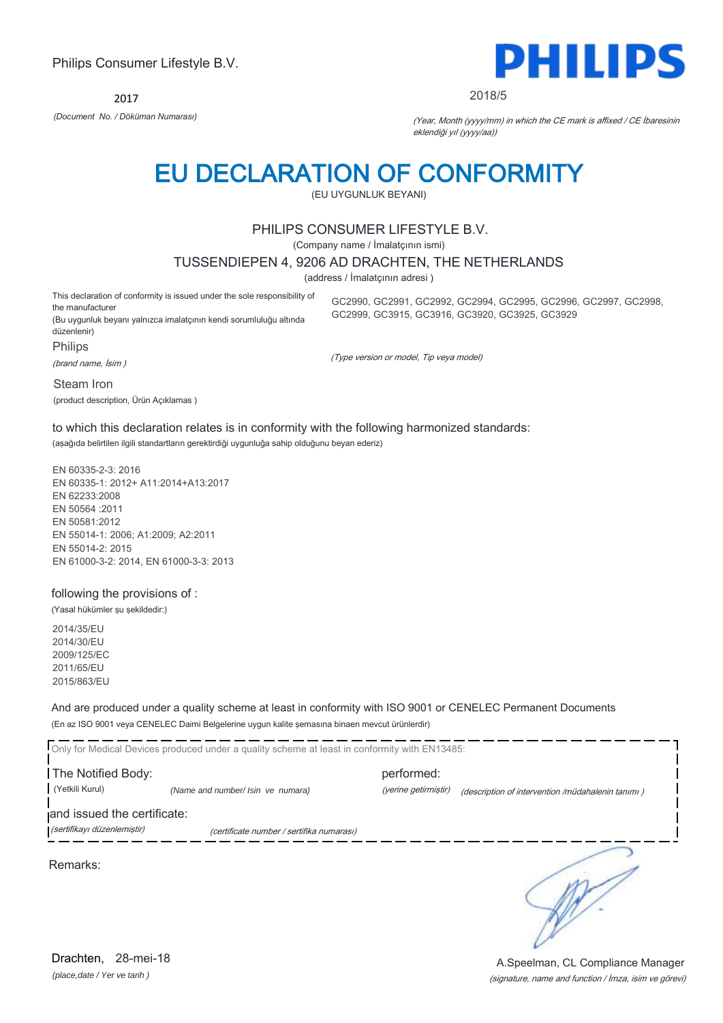2017



#### 2018/5

*(Document No. / Döküman Numarası)* (Year, Month (yyyy/mm) in which the CE mark is affixed / CE İbaresinin eklendiği yıl (yyyy/aa))

### EU DECLARATION OF CONFORMITY

(EU UYGUNLUK BEYANI)

#### PHILIPS CONSUMER LIFESTYLE B.V.

(Company name / İmalatçının ismi)

#### TUSSENDIEPEN 4, 9206 AD DRACHTEN, THE NETHERLANDS

(address / İmalatçının adresi )

This declaration of conformity is issued under the sole responsibility of the manufacturer (Bu uygunluk beyanı yalnızca imalatçının kendi sorumluluğu altında düzenlenir)

GC2990, GC2991, GC2992, GC2994, GC2995, GC2996, GC2997, GC2998, GC2999, GC3915, GC3916, GC3920, GC3925, GC3929

Philips

(brand name, İsim )

(Type version or model, Tip veya model)

Steam Iron (product description, Ürün Açıklamas )

to which this declaration relates is in conformity with the following harmonized standards: (aşağıda belirtilen ilgili standartların gerektirdiği uygunluğa sahip olduğunu beyan ederiz)

EN 60335-2-3: 2016 EN 60335-1: 2012+ A11:2014+A13:2017 EN 62233:2008 EN 50564 :2011 EN 50581:2012 EN 55014-1: 2006; A1:2009; A2:2011 EN 55014-2: 2015 EN 61000-3-2: 2014, EN 61000-3-3: 2013

#### following the provisions of :

(Yasal hükümler şu şekildedir:)

2014/35/EU 2014/30/EU 2009/125/EC 2011/65/EU 2015/863/EU

And are produced under a quality scheme at least in conformity with ISO 9001 or CENELEC Permanent Documents (En az ISO 9001 veya CENELEC Daimi Belgelerine uygun kalite şemasına binaen mevcut ürünlerdir)

Only for Medical Devices produced under a quality scheme at least in conformity with EN13485: The Notified Body: performed: (Yetkili Kurul) *(Name and number/ Isin ve numara)* (yerine getirmiştir) (description of intervention /müdahalenin tanımı ) and issued the certificate:

Remarks:

∋

*(place,date / Yer ve tarih )* Drachten, 28-mei-18

(sertifikayı düzenlemiştir) (certificate number / sertifika numarası)

(signature, name and function / İmza, isim ve görevi) A.Speelman, CL Compliance Manager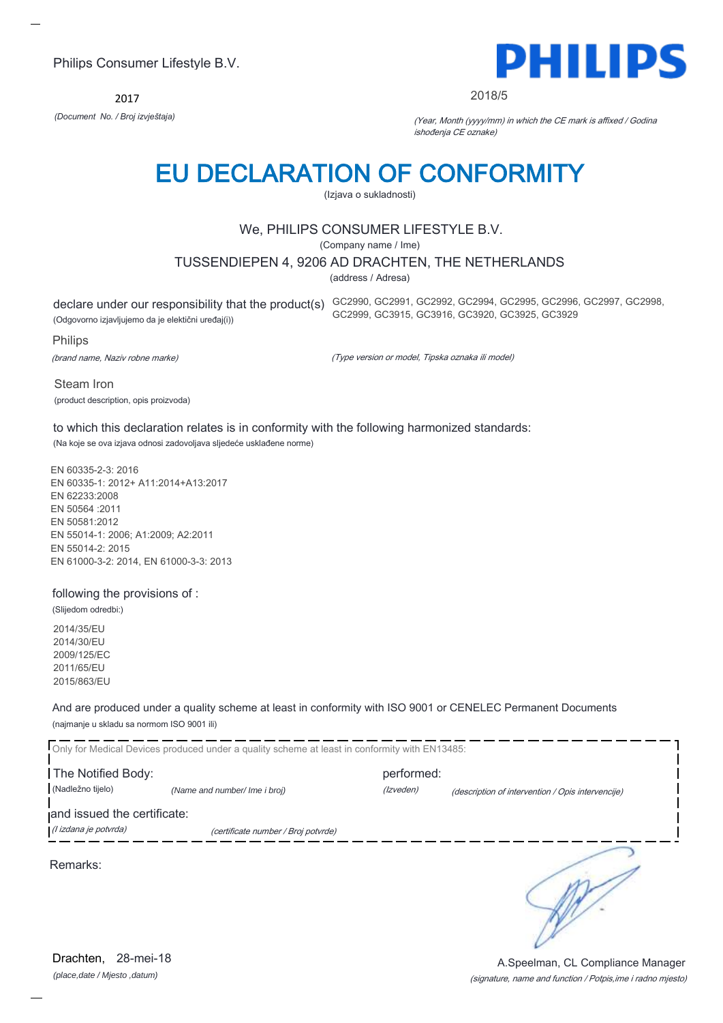2017



2018/5

*(Document No. / Broj izvještaja)* (Year, Month (yyyy/mm) in which the CE mark is affixed / Godina ishođenja CE oznake)

# EU DECLARATION OF CONFORMITY

(Izjava o sukladnosti)

#### We, PHILIPS CONSUMER LIFESTYLE B.V.

(Company name / Ime)

TUSSENDIEPEN 4, 9206 AD DRACHTEN, THE NETHERLANDS

(address / Adresa)

(Odgovorno izjavljujemo da je elektični uređaj(i))

declare under our responsibility that the product(s) GC2990, GC2991, GC2992, GC2994, GC2995, GC2996, GC2997, GC2998, GC2999, GC3915, GC3916, GC3920, GC3925, GC3929

Philips

(brand name, Naziv robne marke)

(Type version or model, Tipska oznaka ili model)

Steam Iron (product description, opis proizvoda)

to which this declaration relates is in conformity with the following harmonized standards: (Na koje se ova izjava odnosi zadovoljava sljedeće usklađene norme)

EN 60335-2-3: 2016 EN 60335-1: 2012+ A11:2014+A13:2017 EN 62233:2008 EN 50564 :2011 EN 50581:2012 EN 55014-1: 2006; A1:2009; A2:2011 EN 55014-2: 2015 EN 61000-3-2: 2014, EN 61000-3-3: 2013

#### following the provisions of :

(Slijedom odredbi:) 2014/35/EU 2014/30/EU

2009/125/EC 2011/65/EU 2015/863/EU

And are produced under a quality scheme at least in conformity with ISO 9001 or CENELEC Permanent Documents (najmanje u skladu sa normom ISO 9001 ili)

| The Notified Body:          | Only for Medical Devices produced under a quality scheme at least in conformity with EN13485: | performed: |                                                   |
|-----------------------------|-----------------------------------------------------------------------------------------------|------------|---------------------------------------------------|
| (Nadležno tijelo)           | (Name and number/ Ime i broj)                                                                 | (Izveden)  | (description of intervention / Opis intervencije) |
| and issued the certificate: |                                                                                               |            |                                                   |
| (l izdana je potvrda)       | (certificate number / Broj potvrde)                                                           |            |                                                   |
| Remarks:                    |                                                                                               |            |                                                   |

*(place,date / Mjesto ,datum)* Drachten, 28-mei-18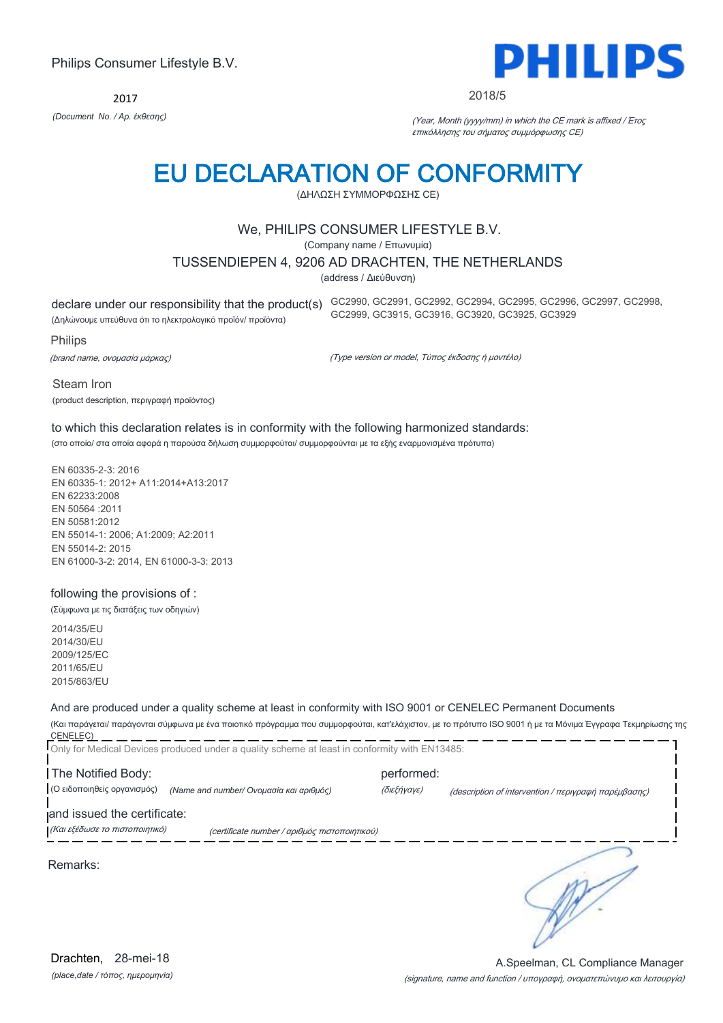2017



#### 2018/5

*(Document No. / Αρ. έκθεσης)* (Year, Month (yyyy/mm) in which the CE mark is affixed / Έτος επικόλλησης του σήματος συμμόρφωσης CE)

# EU DECLARATION OF CONFORMITY

(ΔΗΛΩΣΗ ΣΥΜΜΟΡΦΩΣΗΣ CE)

#### We, PHILIPS CONSUMER LIFESTYLE B.V.

(Company name / Επωνυμία)

#### TUSSENDIEPEN 4, 9206 AD DRACHTEN, THE NETHERLANDS

(address / Διεύθυνση)

(Δηλώνουμε υπεύθυνα ότι το ηλεκτρολογικό προϊόν/ προϊόντα)

declare under our responsibility that the product(s) GC2990, GC2991, GC2992, GC2994, GC2995, GC2996, GC2997, GC2998, GC2999, GC3915, GC3916, GC3920, GC3925, GC3929

Philips

(brand name, ονομασία μάρκας)

(Type version or model, Τύπος έκδοσης ή μοντέλο)

Steam Iron (product description, περιγραφή προϊόντος)

#### to which this declaration relates is in conformity with the following harmonized standards: (στο οποίο/ στα οποία αφορά η παρούσα δήλωση συμμορφούται/ συμμορφούνται με τα εξής εναρμονισμένα πρότυπα)

EN 60335-2-3: 2016 EN 60335-1: 2012+ A11:2014+A13:2017 EN 62233:2008 EN 50564 :2011 EN 50581:2012 EN 55014-1: 2006; A1:2009; A2:2011 EN 55014-2: 2015 EN 61000-3-2: 2014, EN 61000-3-3: 2013

#### following the provisions of :

(Σύμφωνα με τις διατάξεις των οδηγιών)

2014/35/EU 2014/30/EU 2009/125/EC 2011/65/EU 2015/863/EU

#### And are produced under a quality scheme at least in conformity with ISO 9001 or CENELEC Permanent Documents

(Και παράγεται/ παράγονται σύμφωνα με ένα ποιοτικό πρόγραμμα που συμμορφούται, κατ'ελάχιστον, με το πρότυπο ISO 9001 ή με τα Μόνιμα Έγγραφα Τεκμηρίωσης της CENELEC)

|                                | Only for Medical Devices produced under a quality scheme at least in conformity with EN13485: |             |                                                                                                                                                     |
|--------------------------------|-----------------------------------------------------------------------------------------------|-------------|-----------------------------------------------------------------------------------------------------------------------------------------------------|
| The Notified Body:             |                                                                                               | performed:  |                                                                                                                                                     |
| (Ο ειδοποιηθείς οργανισμός)    | (Name and number/ Ονομασία και αριθμός)                                                       | (διεξήγαγε) | (description of intervention / $\pi \epsilon \rho \nu \rho \alpha \varphi \eta$ $\pi \alpha \rho \epsilon \mu \beta \alpha \sigma \eta \varsigma$ ) |
| and issued the certificate:    |                                                                                               |             |                                                                                                                                                     |
| (Και εξέδωσε το πιστοποιητικό) | (certificate number / αριθμός πιστοποιητικού)                                                 |             |                                                                                                                                                     |
| Remarks:                       |                                                                                               |             |                                                                                                                                                     |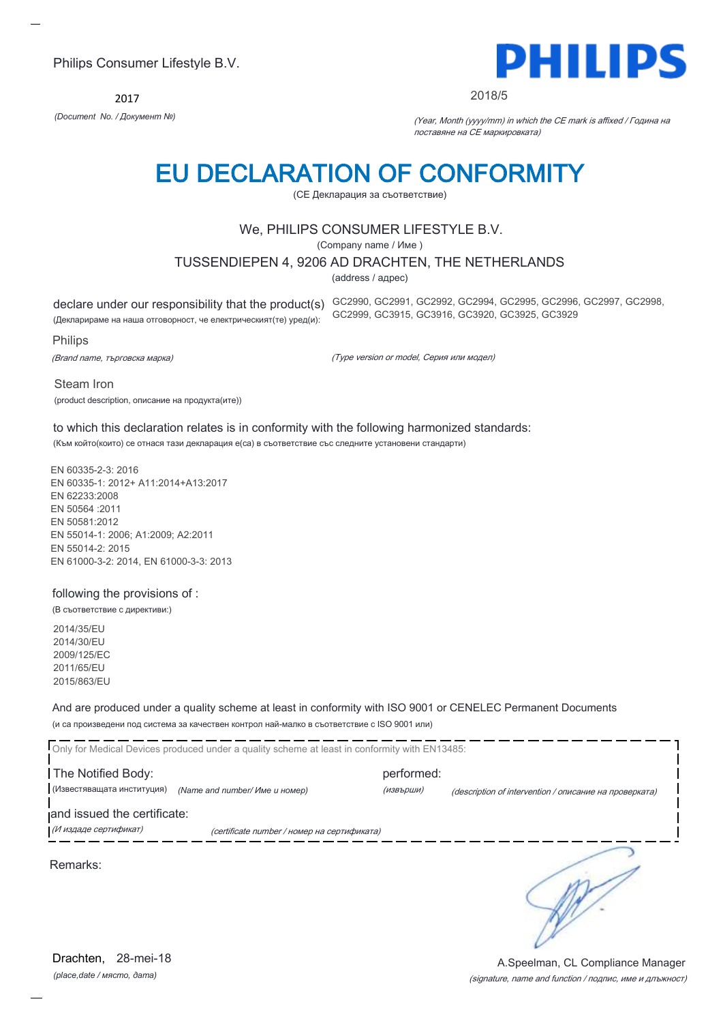2017



2018/5

*(Document No. / Документ №)* (Year, Month (yyyy/mm) in which the CE mark is affixed / Година на поставяне на CE маркировката)

# EU DECLARATION OF CONFORMITY

(CE Декларация за съответствие)

#### We, PHILIPS CONSUMER LIFESTYLE B.V.

(Company name / Име )

#### TUSSENDIEPEN 4, 9206 AD DRACHTEN, THE NETHERLANDS

(address / адрес)

declare under our responsibility that the product(s) GC2990, GC2991, GC2992, GC2994, GC2995, GC2996, GC2997, GC2998,

(Декларираме на наша отговорност, че електрическият(те) уред(и):

#### Philips

(Brand name, търговска марка)

(Type version or model, Серия или модел)

GC2999, GC3915, GC3916, GC3920, GC3925, GC3929

Steam Iron

(product description, описание на продукта(ите))

#### to which this declaration relates is in conformity with the following harmonized standards:

(Към който(които) се отнася тази декларация е(са) в съответствие със следните установени стандарти)

EN 60335-2-3: 2016 EN 60335-1: 2012+ A11:2014+A13:2017 EN 62233:2008 EN 50564 :2011 EN 50581:2012 EN 55014-1: 2006; A1:2009; A2:2011 EN 55014-2: 2015 EN 61000-3-2: 2014, EN 61000-3-3: 2013

#### following the provisions of :

(В съответствие с директиви:)

2014/35/EU 2014/30/EU 2009/125/EC 2011/65/EU 2015/863/EU

And are produced under a quality scheme at least in conformity with ISO 9001 or CENELEC Permanent Documents (и са произведени под система за качествен контрол най-малко в съответствие с ISO 9001 или)

|                                                  | Only for Medical Devices produced under a quality scheme at least in conformity with EN13485: |                         |                                                        |
|--------------------------------------------------|-----------------------------------------------------------------------------------------------|-------------------------|--------------------------------------------------------|
| The Notified Body:<br>(Известяващата институция) | (Name and number/ Име и номер)                                                                | performed:<br>(извърши) | (description of intervention / описание на проверката) |
| and issued the certificate:                      |                                                                                               |                         |                                                        |
| (И издаде сертификат)                            | (certificate number / номер на сертификата)                                                   |                         |                                                        |
| Remarks:                                         |                                                                                               |                         |                                                        |

*(place,date / място, дата)* Drachten, 28-mei-18